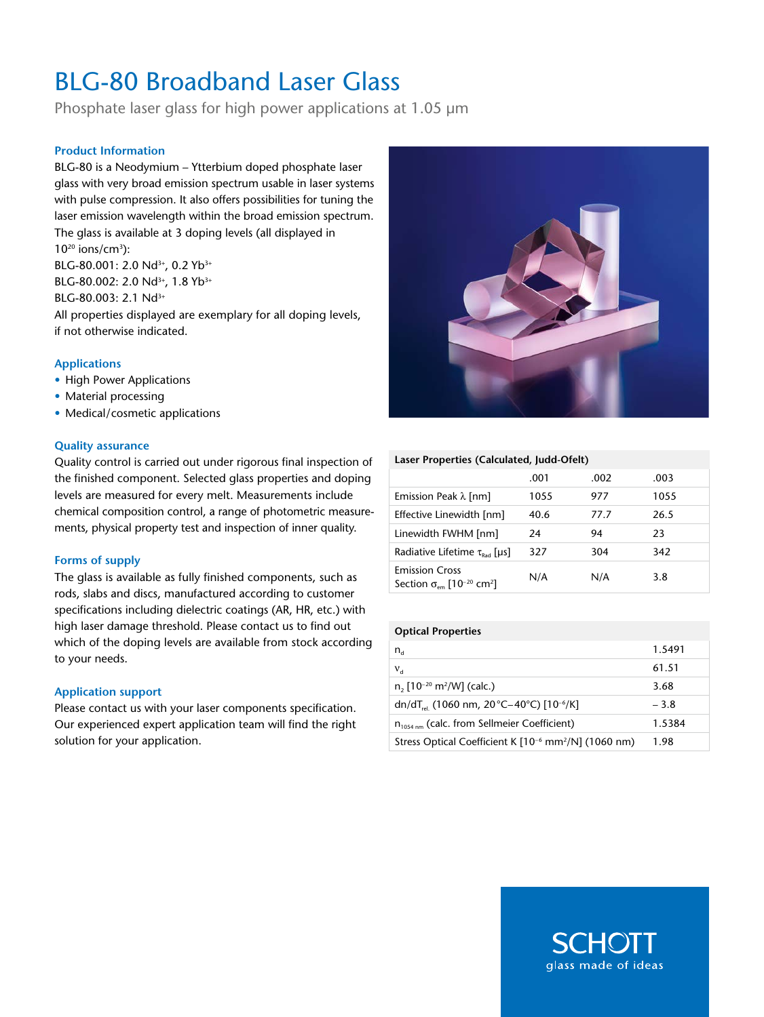# BLG-80 Broadband Laser Glass

Phosphate laser glass for high power applications at 1.05 µm

#### **Product Information**

BLG-80 is a Neodymium – Ytterbium doped phosphate laser glass with very broad emission spectrum usable in laser systems with pulse compression. It also offers possibilities for tuning the laser emission wavelength within the broad emission spectrum. The glass is available at 3 doping levels (all displayed in  $10^{20}$  ions/cm<sup>3</sup>):

BLG-80.001: 2.0 Nd<sup>3+</sup>, 0.2 Yb<sup>3+</sup> BLG-80.002: 2.0 Nd<sup>3+</sup>, 1.8 Yb<sup>3+</sup> BLG-80.003: 2.1 Nd<sup>3+</sup> All properties displayed are exemplary for all doping levels, if not otherwise indicated.

#### **Applications**

- High Power Applications
- Material processing
- Medical/cosmetic applications

#### **Quality assurance**

Quality control is carried out under rigorous final inspection of the finished component. Selected glass properties and doping levels are measured for every melt. Measurements include chemical composition control, a range of photometric measurements, physical property test and inspection of inner quality.

#### **Forms of supply**

The glass is available as fully finished components, such as rods, slabs and discs, manufactured according to customer specifications including dielectric coatings (AR, HR, etc.) with high laser damage threshold. Please contact us to find out which of the doping levels are available from stock according to your needs.

#### **Application support**

Please contact us with your laser components specification. Our experienced expert application team will find the right solution for your application.



#### **Laser Properties (Calculated, Judd-Ofelt)**

|                                                                                            | .001 | .002 | .003 |
|--------------------------------------------------------------------------------------------|------|------|------|
| Emission Peak $\lambda$ [nm]                                                               | 1055 | 977  | 1055 |
| Effective Linewidth [nm]                                                                   | 40.6 | 77.7 | 26.5 |
| Linewidth FWHM [nm]                                                                        | 24   | 94   | 23   |
| Radiative Lifetime $\tau_{\text{rad}}$ [µs]                                                | 327  | 304  | 342  |
| <b>Emission Cross</b><br>Section $\sigma_{\text{em}}$ [10 <sup>-20</sup> cm <sup>2</sup> ] | N/A  | N/A  | 3.8  |

#### **Optical Properties**

| $n_{\rm d}$                                                                  | 1.5491 |
|------------------------------------------------------------------------------|--------|
| $V_{d}$                                                                      | 61.51  |
| $n$ , [10 <sup>-20</sup> m <sup>2</sup> /W] (calc.)                          | 3.68   |
| dn/dT <sub>rel</sub> (1060 nm, 20 °C-40 °C) [10 <sup>-6</sup> /K]            | $-3.8$ |
| $n_{1054 \text{ nm}}$ (calc. from Sellmeier Coefficient)                     | 1.5384 |
| Stress Optical Coefficient K [10 <sup>-6</sup> mm <sup>2</sup> /N] (1060 nm) | 1.98   |